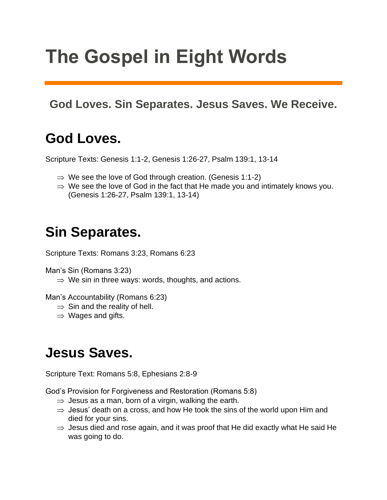# **The Gospel in Eight Words**

#### **God Loves. Sin Separates. Jesus Saves. We Receive.**

#### **God Loves.**

Scripture Texts: Genesis 1:1-2, Genesis 1:26-27, Psalm 139:1, 13-14

- $\Rightarrow$  We see the love of God through creation. (Genesis 1:1-2)
- $\Rightarrow$  We see the love of God in the fact that He made you and intimately knows you. (Genesis 1:26-27, Psalm 139:1, 13-14)

#### **Sin Separates.**

Scripture Texts: Romans 3:23, Romans 6:23

Man's Sin (Romans 3:23)

 $\Rightarrow$  We sin in three ways: words, thoughts, and actions.

Man's Accountability (Romans 6:23)

- $\Rightarrow$  Sin and the reality of hell.
- $\Rightarrow$  Wages and gifts.

#### **Jesus Saves.**

Scripture Text: Romans 5:8, Ephesians 2:8-9

God's Provision for Forgiveness and Restoration (Romans 5:8)

- $\Rightarrow$  Jesus as a man, born of a virgin, walking the earth.
- $\Rightarrow$  Jesus' death on a cross, and how He took the sins of the world upon Him and died for your sins.
- $\Rightarrow$  Jesus died and rose again, and it was proof that He did exactly what He said He was going to do.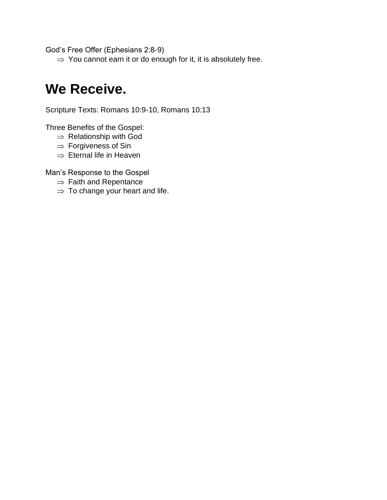God's Free Offer (Ephesians 2:8-9)

 $\Rightarrow$  You cannot earn it or do enough for it, it is absolutely free.

#### **We Receive.**

Scripture Texts: Romans 10:9-10, Romans 10:13

Three Benefits of the Gospel:

- $\Rightarrow$  Relationship with God
- $\Rightarrow$  Forgiveness of Sin
- $\Rightarrow$  Eternal life in Heaven

Man's Response to the Gospel

- $\Rightarrow$  Faith and Repentance
- $\Rightarrow$  To change your heart and life.